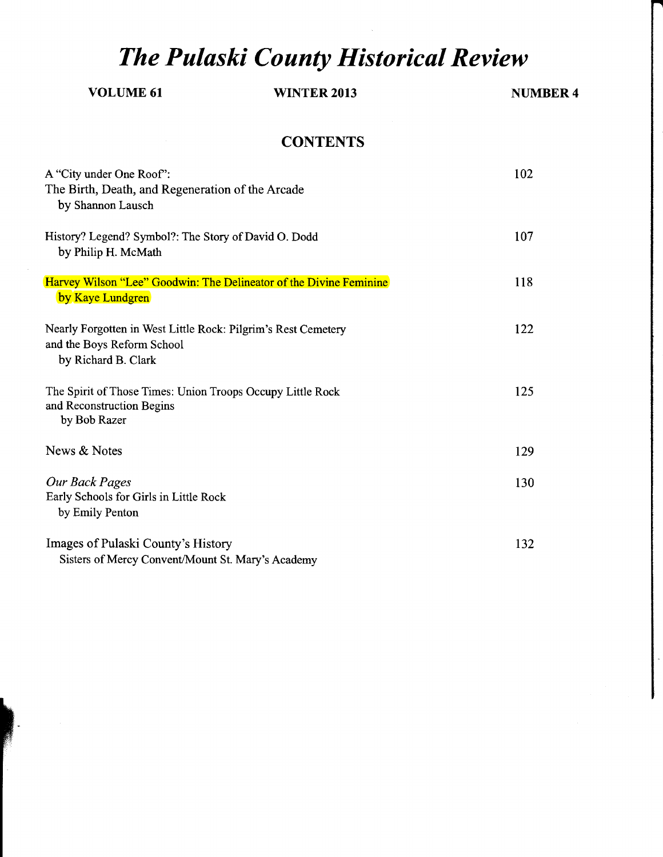## *The Pulaski County Historical Review*

| <b>VOLUME 61</b>                                                                                                   | <b>WINTER 2013</b>                                                 | <b>NUMBER 4</b> |
|--------------------------------------------------------------------------------------------------------------------|--------------------------------------------------------------------|-----------------|
|                                                                                                                    | <b>CONTENTS</b>                                                    |                 |
| A "City under One Roof":<br>The Birth, Death, and Regeneration of the Arcade<br>by Shannon Lausch                  |                                                                    | 102             |
| History? Legend? Symbol?: The Story of David O. Dodd<br>by Philip H. McMath                                        |                                                                    | 107             |
| by Kaye Lundgren                                                                                                   | Harvey Wilson "Lee" Goodwin: The Delineator of the Divine Feminine | 118             |
| Nearly Forgotten in West Little Rock: Pilgrim's Rest Cemetery<br>and the Boys Reform School<br>by Richard B. Clark |                                                                    | 122             |
| The Spirit of Those Times: Union Troops Occupy Little Rock<br>and Reconstruction Begins<br>by Bob Razer            |                                                                    | 125             |
| News & Notes                                                                                                       |                                                                    | 129             |
| Our Back Pages<br>Early Schools for Girls in Little Rock<br>by Emily Penton                                        |                                                                    | 130             |
| Images of Pulaski County's History<br>Sisters of Mercy Convent/Mount St. Mary's Academy                            |                                                                    | 132             |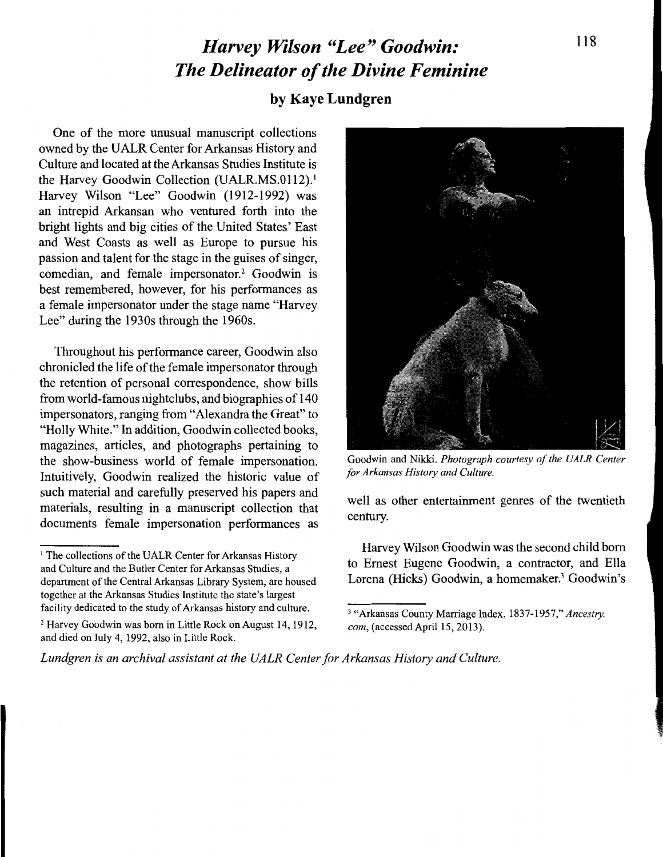## *Harvey Wilson "Lee" Goodwin:* 118 *The Delineator of the Divine Feminine*

## **by Kaye Lundgren**

One of the more unusual manuscript collections owned by the UALR Center for Arkansas History and Culture and located at the Arkansas Studies Institute is the Harvey Goodwin Collection (UALR.MS.0112).<sup>1</sup> Harvey Wilson "Lee" Goodwin (1912-1992) was an intrepid Arkansan who ventured forth into the bright lights and big cities of the United States' East and West Coasts as well as Europe to pursue his passion and talent for the stage in the guises of singer, comedian, and female impersonator.<sup>2</sup> Goodwin is best remembered, however, for his performances as a female impersonator under the stage name "Harvey Lee" during the 1930s through the 1960s.

Throughout his performance career, Goodwin also chronicled the life of the female impersonator through the retention of personal correspondence, show bills from world-famous nightclubs, and biographies of 140 impersonators, ranging from "Alexandra the Great" to "Holly White." In addition, Goodwin collected books, magazines, articles, and photographs pertaining to the show-business world of female impersonation. Intuitively, Goodwin realized the historic value of such material and carefully preserved his papers and materials, resulting in a manuscript collection that documents female impersonation performances as



Goodwin and Nikki. *Photograph courtesy of the UALR Center for Arkansas History and Culture.* 

well as other entertainment genres of the twentieth century.

Harvey Wilson Goodwin was the second child born to Ernest Eugene Goodwin, a contractor, and Ella Lorena (Hicks) Goodwin, a homemaker.<sup>3</sup> Goodwin's

*Lundgren is an archival assistant at the UALR Center for Arkansas History and Culture.* 

<sup>&</sup>lt;sup>1</sup> The collections of the UALR Center for Arkansas History and Culture and the Butler Center for Arkansas Studies, a department of the Central Arkansas Library System, are housed together at the Arkansas Studies Institute the state's largest facility dedicated to the study of Arkansas history and culture.

<sup>2</sup>Harvey Goodwin was born in Little Rock on August 14, 1912, and died on July 4, 1992, also in Little Rock.

<sup>3</sup>"Arkansas County Marriage Index, 1837-1957," *Ancestry. com, (accessed April 15, 2013).*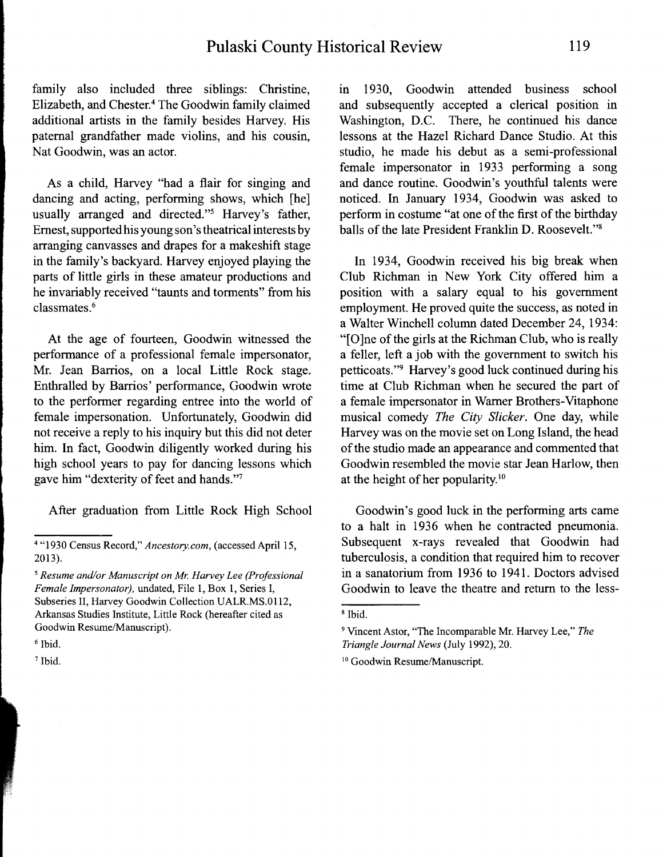family also included three siblings: Christine, Elizabeth, and Chester.4 The Goodwin family claimed additional artists in the family besides Harvey. His paternal grandfather made violins, and his cousin, Nat Goodwin, was an actor.

As a child, Harvey "had a flair for singing and dancing and acting, performing shows, which [he] usually arranged and directed."5 Harvey's father, Ernest, supported his young son's theatrical interests by arranging canvasses and drapes for a makeshift stage in the family's backyard. Harvey enjoyed playing the parts of little girls in these amateur productions and he invariably received "taunts and torments" from his classmates. 6

At the age of fourteen, Goodwin witnessed the performance of a professional female impersonator, Mr. Jean Barrios, on a local Little Rock stage. Enthralled by Barrios' performance, Goodwin wrote to the performer regarding entree into the world of female impersonation. Unfortunately, Goodwin did not receive a reply to his inquiry but this did not deter him. In fact, Goodwin diligently worked during his high school years to pay for dancing lessons which gave him "dexterity of feet and hands."7

After graduation from Little Rock High School

m 1930, Goodwin attended business school and subsequently accepted a clerical position in Washington, D.C. There, he continued his dance lessons at the Hazel Richard Dance Studio. At this studio, he made his debut as a semi-professional female impersonator in 1933 performing a song and dance routine. Goodwin's youthful talents were noticed. In January 1934, Goodwin was asked to perform in costume "at one of the first of the birthday balls of the late President Franklin D. Roosevelt."8

In 1934, Goodwin received his big break when Club Richman in New York City offered him a position with a salary equal to his government employment. He proved quite the success, as noted in a Walter Winchell column dated December 24, 1934: "[O]ne of the girls at the Richman Club, who is really a feller, left a job with the government to switch his petticoats."9 Harvey's good luck continued during his time at Club Richman when he secured the part of a female impersonator in Warner Brothers-Vitaphone musical comedy *The City Slicker.* One day, while Harvey was on the movie set on Long Island, the head of the studio made an appearance and commented that Goodwin resembled the movie star Jean Harlow, then at the height of her popularity. <sup>10</sup>

Goodwin's good luck in the performing arts came to a halt in 1936 when he contracted pneumonia. Subsequent x-rays revealed that Goodwin had tuberculosis, a condition that required him to recover in a sanatorium from 1936 to 1941. Doctors advised Goodwin to leave the theatre and return to the less-

<sup>&</sup>lt;sup>4</sup> "1930 Census Record," *Ancestory.com*, (accessed April 15, 2013).

*<sup>5</sup> Resume and/or Manuscript on Mr. Harvey Lee (Professional Female Impersonator),* undated, File 1, Box 1, Series I, Subseries II, Harvey Goodwin Collection UALR.MS.0112, Arkansas Studies Institute, Little Rock (hereafter cited as Goodwin Resume/Manuscript).

<sup>6</sup> Ibid.

<sup>7</sup>Ibid.

<sup>8</sup> Ibid.

<sup>9</sup> Vincent Astor, "The Incomparable Mr. Harvey Lee," *The Triangle Journal News* (July 1992), 20.

<sup>10</sup> Goodwin Resume/Manuscript.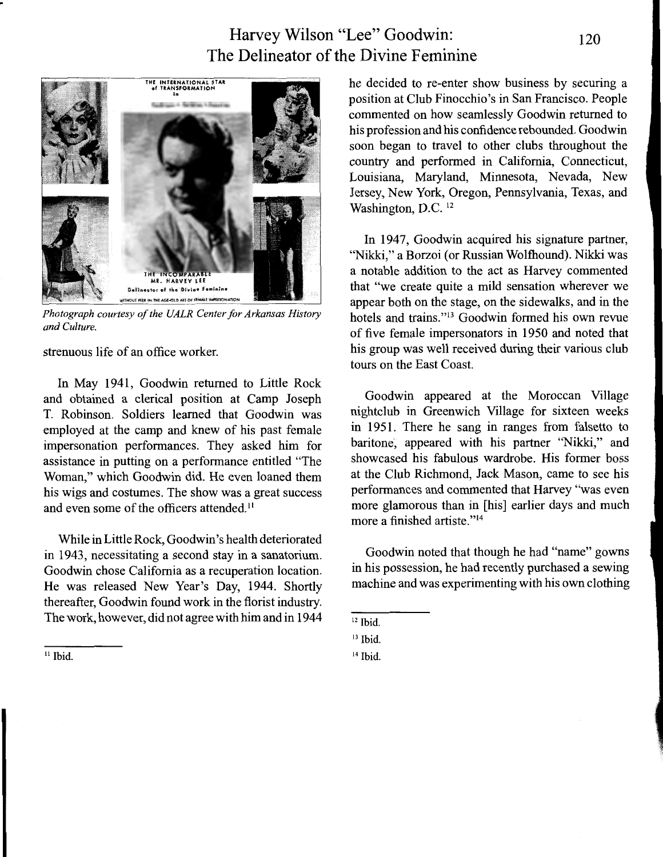## Harvey Wilson "Lee" Goodwin: 120 The Delineator of the Divine Feminine



*Photograph courtesy of the UALR Center for Arkansas History and Culture.* 

strenuous life of an office worker.

In May 1941, Goodwin returned to Little Rock and obtained a clerical position at Camp Joseph T. Robinson. Soldiers learned that Goodwin was employed at the camp and knew of his past female impersonation performances. They asked him for assistance in putting on a performance entitled "The Woman," which Goodwin did. He even loaned them his wigs and costumes. The show was a great success and even some of the officers attended.<sup>11</sup>

While in Little Rock, Goodwin's health deteriorated in 1943, necessitating a second stay in a sanatorium. Goodwin chose California as a recuperation location. He was released New Year's Day, 1944. Shortly thereafter, Goodwin found work in the florist industry. The work, however, did not agree with him and in 1944

 $11$  Ibid.

he decided to re-enter show business by securing a position at Club Finocchio's in San Francisco. People commented on how seamlessly Goodwin returned to his profession and his confidence rebounded. Goodwin soon began to travel to other clubs throughout the country and performed in California, Connecticut, Louisiana, Maryland, Minnesota, Nevada, New Jersey, New York, Oregon, Pennsylvania, Texas, and Washington, D.C.<sup>12</sup>

In 1947, Goodwin acquired his signature partner, "Nikki," a Borzoi (or Russian Wolfhound). Nikki was a notable addition to the act as Harvey commented that "we create quite a mild sensation wherever we appear both on the stage, on the sidewalks, and in the hotels and trains."13 Goodwin formed his own revue of five female impersonators in 1950 and noted that his group was well received during their various club tours on the East Coast.

Goodwin appeared at the Moroccan Village nightclub in Greenwich Village for sixteen weeks in 1951. There he sang in ranges from falsetto to baritone, appeared with his partner "Nikki," and showcased his fabulous wardrobe. His former boss at the Club Richmond, Jack Mason, came to see his performances and commented that Harvey "was even more glamorous than in [his] earlier days and much more a finished artiste."<sup>14</sup>

Goodwin noted that though he had "name" gowns in his possession, he had recently purchased a sewing machine and was experimenting with his own clothing

 $12$  Ibid.

<sup>13</sup> Ibid.

<sup>14</sup> Ibid.